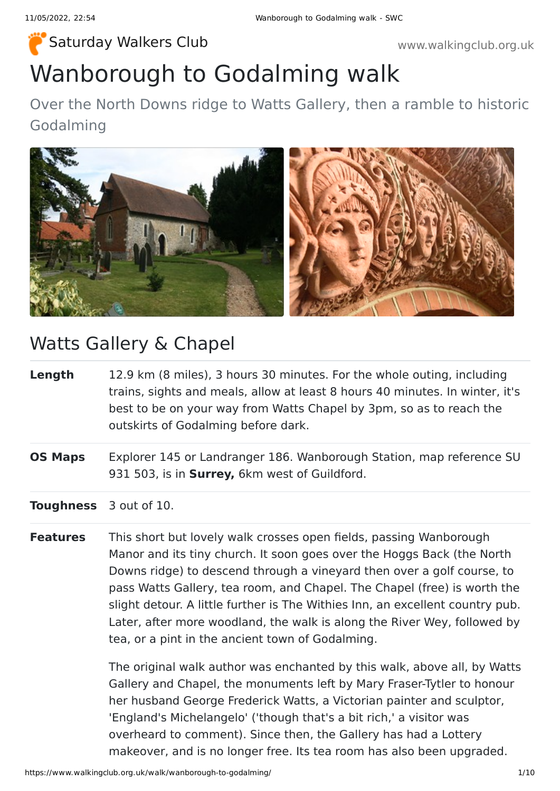## Wanborough to Godalming walk [Saturday Walkers Club](https://www.walkingclub.org.uk/) **Walkers Club www.walkingclub.org.uk**

Over the North Downs ridge to Watts Gallery, then a ramble to historic Godalming



### Watts Gallery & Chapel

- **Length** 12.9 km (8 miles), 3 hours 30 minutes. For the whole outing, including trains, sights and meals, allow at least 8 hours 40 minutes. In winter, it's best to be on your way from Watts Chapel by 3pm, so as to reach the outskirts of Godalming before dark.
- **OS Maps** Explorer 145 or Landranger 186. Wanborough Station, map reference SU 931 503, is in **Surrey,** 6km west of Guildford.
- **Toughness** 3 out of 10.
- **Features** This short but lovely walk crosses open fields, passing Wanborough Manor and its tiny church. It soon goes over the Hoggs Back (the North Downs ridge) to descend through a vineyard then over a golf course, to pass Watts Gallery, tea room, and Chapel. The Chapel (free) is worth the slight detour. A little further is The Withies Inn, an excellent country pub. Later, after more woodland, the walk is along the River Wey, followed by tea, or a pint in the ancient town of Godalming.

The original walk author was enchanted by this walk, above all, by Watts Gallery and Chapel, the monuments left by Mary Fraser-Tytler to honour her husband George Frederick Watts, a Victorian painter and sculptor, 'England's Michelangelo' ('though that's a bit rich,' a visitor was overheard to comment). Since then, the Gallery has had a Lottery makeover, and is no longer free. Its tea room has also been upgraded.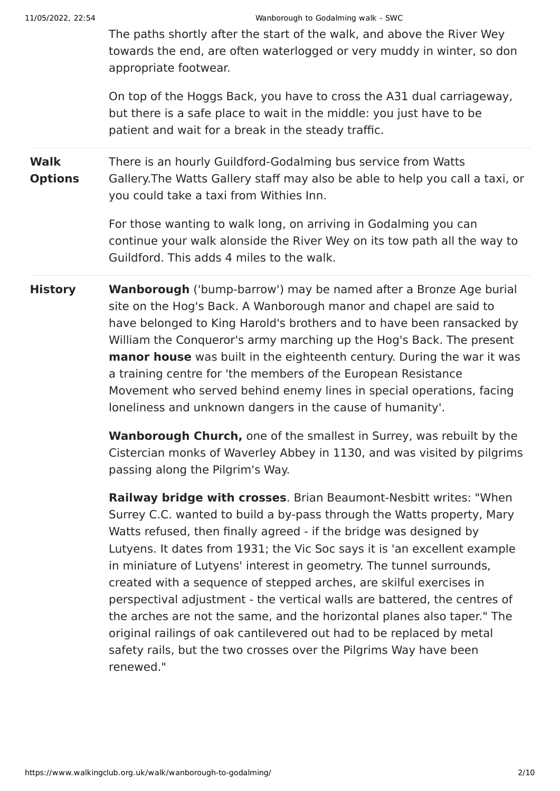The paths shortly after the start of the walk, and above the River Wey towards the end, are often waterlogged or very muddy in winter, so don appropriate footwear.

On top of the Hoggs Back, you have to cross the A31 dual carriageway, but there is a safe place to wait in the middle: you just have to be patient and wait for a break in the steady traffic.

**Walk Options** There is an hourly Guildford-Godalming bus service from Watts Gallery.The Watts Gallery staff may also be able to help you call a taxi, or you could take a taxi from Withies Inn.

> For those wanting to walk long, on arriving in Godalming you can continue your walk alonside the River Wey on its tow path all the way to Guildford. This adds 4 miles to the walk.

**History Wanborough** ('bump-barrow') may be named after a Bronze Age burial site on the Hog's Back. A Wanborough manor and chapel are said to have belonged to King Harold's brothers and to have been ransacked by William the Conqueror's army marching up the Hog's Back. The present **manor house** was built in the eighteenth century. During the war it was a training centre for 'the members of the European Resistance Movement who served behind enemy lines in special operations, facing loneliness and unknown dangers in the cause of humanity'.

> **Wanborough Church,** one of the smallest in Surrey, was rebuilt by the Cistercian monks of Waverley Abbey in 1130, and was visited by pilgrims passing along the Pilgrim's Way.

**Railway bridge with crosses**. Brian Beaumont-Nesbitt writes: "When Surrey C.C. wanted to build a by-pass through the Watts property, Mary Watts refused, then finally agreed - if the bridge was designed by Lutyens. It dates from 1931; the Vic Soc says it is 'an excellent example in miniature of Lutyens' interest in geometry. The tunnel surrounds, created with a sequence of stepped arches, are skilful exercises in perspectival adjustment - the vertical walls are battered, the centres of the arches are not the same, and the horizontal planes also taper." The original railings of oak cantilevered out had to be replaced by metal safety rails, but the two crosses over the Pilgrims Way have been renewed."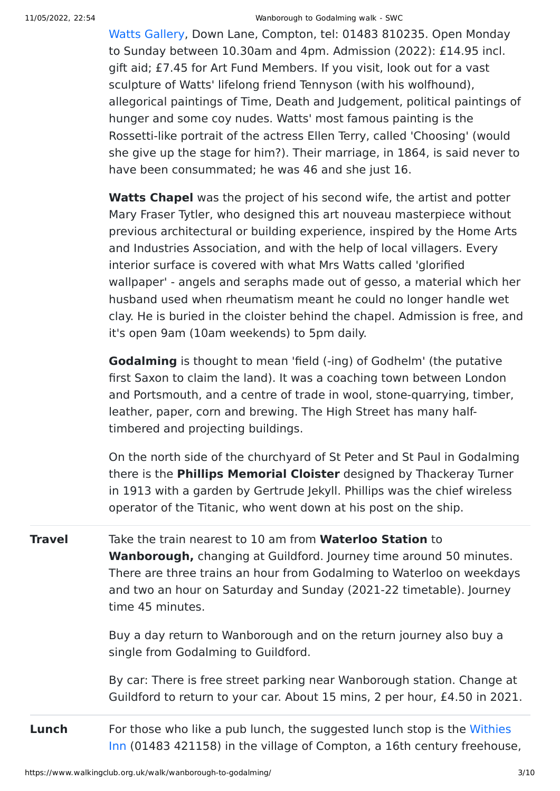#### 11/05/2022, 22:54 Wanborough to Godalming walk - SWC

[Watts Gallery,](http://www.wattsgallery.org.uk/en-gb/visit/) Down Lane, Compton, tel: 01483 810235. Open Monday to Sunday between 10.30am and 4pm. Admission (2022): £14.95 incl. gift aid; £7.45 for Art Fund Members. If you visit, look out for a vast sculpture of Watts' lifelong friend Tennyson (with his wolfhound), allegorical paintings of Time, Death and Judgement, political paintings of hunger and some coy nudes. Watts' most famous painting is the Rossetti-like portrait of the actress Ellen Terry, called 'Choosing' (would she give up the stage for him?). Their marriage, in 1864, is said never to have been consummated; he was 46 and she just 16.

**Watts Chapel** was the project of his second wife, the artist and potter Mary Fraser Tytler, who designed this art nouveau masterpiece without previous architectural or building experience, inspired by the Home Arts and Industries Association, and with the help of local villagers. Every interior surface is covered with what Mrs Watts called 'glorified wallpaper' - angels and seraphs made out of gesso, a material which her husband used when rheumatism meant he could no longer handle wet clay. He is buried in the cloister behind the chapel. Admission is free, and it's open 9am (10am weekends) to 5pm daily.

**Godalming** is thought to mean 'field (-ing) of Godhelm' (the putative first Saxon to claim the land). It was a coaching town between London and Portsmouth, and a centre of trade in wool, stone-quarrying, timber, leather, paper, corn and brewing. The High Street has many halftimbered and projecting buildings.

On the north side of the churchyard of St Peter and St Paul in Godalming there is the **Phillips Memorial Cloister** designed by Thackeray Turner in 1913 with a garden by Gertrude Jekyll. Phillips was the chief wireless operator of the Titanic, who went down at his post on the ship.

**Travel** Take the train nearest to 10 am from **Waterloo Station** to **Wanborough,** changing at Guildford. Journey time around 50 minutes. There are three trains an hour from Godalming to Waterloo on weekdays and two an hour on Saturday and Sunday (2021-22 timetable). Journey time 45 minutes.

> Buy a day return to Wanborough and on the return journey also buy a single from Godalming to Guildford.

By car: There is free street parking near Wanborough station. Change at Guildford to return to your car. About 15 mins, 2 per hour, £4.50 in 2021.

**Lunch** For those who like a pub lunch, the suggested lunch stop is the Withies [Inn \(01483 421158\) in the village of Compton, a 16th century freehouse](http://www.thewithiesinn.com/),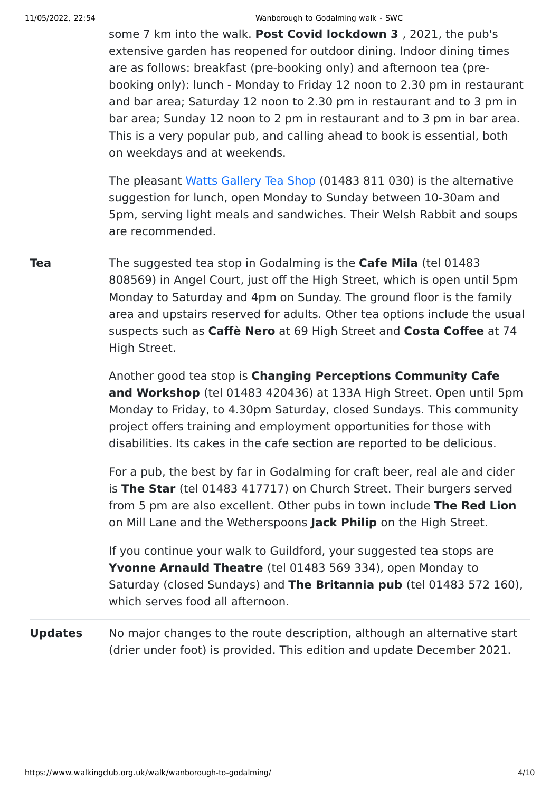#### 11/05/2022, 22:54 Wanborough to Godalming walk - SWC

some 7 km into the walk. **Post Covid lockdown 3** , 2021, the pub's extensive garden has reopened for outdoor dining. Indoor dining times are as follows: breakfast (pre-booking only) and afternoon tea (prebooking only): lunch - Monday to Friday 12 noon to 2.30 pm in restaurant and bar area; Saturday 12 noon to 2.30 pm in restaurant and to 3 pm in bar area; Sunday 12 noon to 2 pm in restaurant and to 3 pm in bar area. This is a very popular pub, and calling ahead to book is essential, both on weekdays and at weekends.

The pleasant [Watts Gallery Tea Shop](http://www.wattsgallery.org.uk/en-gb/visit/tea-shop/) (01483 811 030) is the alternative suggestion for lunch, open Monday to Sunday between 10-30am and 5pm, serving light meals and sandwiches. Their Welsh Rabbit and soups are recommended.

**Tea** The suggested tea stop in Godalming is the **Cafe Mila** (tel 01483) 808569) in Angel Court, just off the High Street, which is open until 5pm Monday to Saturday and 4pm on Sunday. The ground floor is the family area and upstairs reserved for adults. Other tea options include the usual suspects such as **Caffè Nero** at 69 High Street and **Costa Coffee** at 74 High Street.

> Another good tea stop is **Changing Perceptions Community Cafe and Workshop** (tel 01483 420436) at 133A High Street. Open until 5pm Monday to Friday, to 4.30pm Saturday, closed Sundays. This community project offers training and employment opportunities for those with disabilities. Its cakes in the cafe section are reported to be delicious.

For a pub, the best by far in Godalming for craft beer, real ale and cider is **The Star** (tel 01483 417717) on Church Street. Their burgers served from 5 pm are also excellent. Other pubs in town include **The Red Lion** on Mill Lane and the Wetherspoons **Jack Philip** on the High Street.

If you continue your walk to Guildford, your suggested tea stops are **Yvonne Arnauld Theatre** (tel 01483 569 334), open Monday to Saturday (closed Sundays) and **The Britannia pub** (tel 01483 572 160), which serves food all afternoon.

**Updates** No major changes to the route description, although an alternative start (drier under foot) is provided. This edition and update December 2021.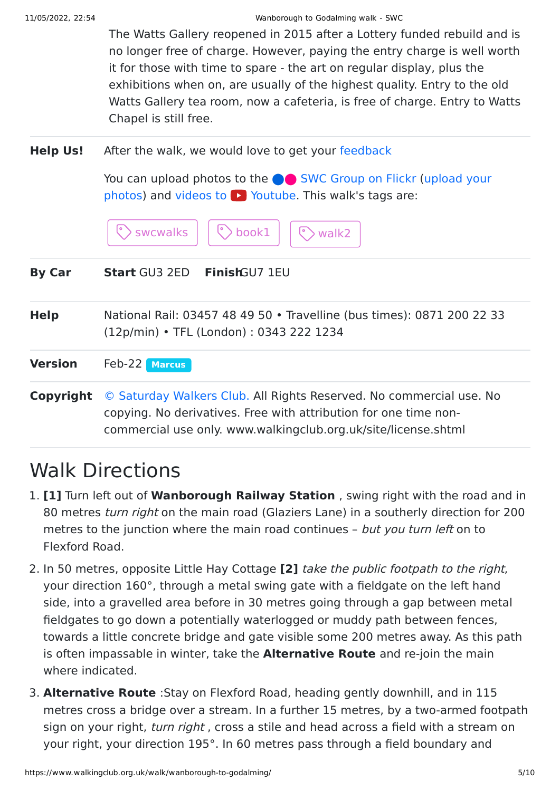The Watts Gallery reopened in 2015 after a Lottery funded rebuild and is no longer free of charge. However, paying the entry charge is well worth it for those with time to spare - the art on regular display, plus the exhibitions when on, are usually of the highest quality. Entry to the old Watts Gallery tea room, now a cafeteria, is free of charge. Entry to Watts Chapel is still free.

**Help Us!** After the walk, we would love to get your [feedback](https://www.walkingclub.org.uk/walk/wanborough-to-godalming/comments.html)

You can upload photos to the **[SWC Group on Flickr](http://www.flickr.com/groups/swc) (upload your** photos) and videos to  $\triangleright$  Youtube. This walk's tags are:

|                | > swcwalks<br>book1<br>walk2                                                                                                                                                                              |  |
|----------------|-----------------------------------------------------------------------------------------------------------------------------------------------------------------------------------------------------------|--|
| <b>By Car</b>  | FinishGU7 1EU<br><b>Start GU3 2ED</b>                                                                                                                                                                     |  |
| <b>Help</b>    | National Rail: 03457 48 49 50 • Travelline (bus times): 0871 200 22 33<br>(12p/min) • TFL (London): 0343 222 1234                                                                                         |  |
| <b>Version</b> | Feb-22<br><b>Marcus</b>                                                                                                                                                                                   |  |
| Copyright      | © Saturday Walkers Club. All Rights Reserved. No commercial use. No<br>copying. No derivatives. Free with attribution for one time non-<br>commercial use only. www.walkingclub.org.uk/site/license.shtml |  |

# Walk Directions

- 1. **[1]** Turn left out of **Wanborough Railway Station** , swing right with the road and in 80 metres turn right on the main road (Glaziers Lane) in a southerly direction for 200 metres to the junction where the main road continues - but you turn left on to Flexford Road.
- 2. In 50 metres, opposite Little Hay Cottage **[2]** take the public footpath to the right, your direction 160°, through a metal swing gate with a fieldgate on the left hand side, into a gravelled area before in 30 metres going through a gap between metal fieldgates to go down a potentially waterlogged or muddy path between fences, towards a little concrete bridge and gate visible some 200 metres away. As this path is often impassable in winter, take the **Alternative Route** and re-join the main where indicated.
- 3. **Alternative Route** :Stay on Flexford Road, heading gently downhill, and in 115 metres cross a bridge over a stream. In a further 15 metres, by a two-armed footpath sign on your right, turn right, cross a stile and head across a field with a stream on your right, your direction 195°. In 60 metres pass through a field boundary and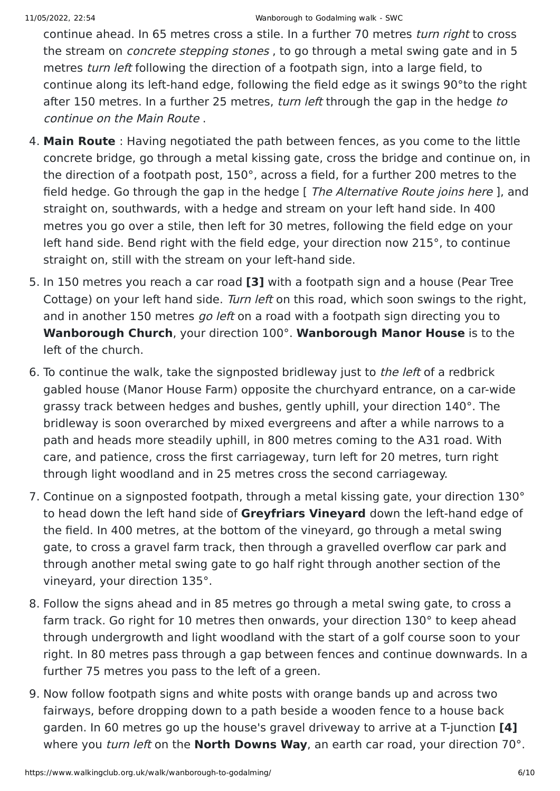continue ahead. In 65 metres cross a stile. In a further 70 metres turn right to cross the stream on *concrete stepping stones*, to go through a metal swing gate and in 5 metres *turn left* following the direction of a footpath sign, into a large field, to continue along its left-hand edge, following the field edge as it swings 90°to the right after 150 metres. In a further 25 metres, turn left through the gap in the hedge to continue on the Main Route .

- 4. **Main Route** : Having negotiated the path between fences, as you come to the little concrete bridge, go through a metal kissing gate, cross the bridge and continue on, in the direction of a footpath post, 150°, across a field, for a further 200 metres to the field hedge. Go through the gap in the hedge [ The Alternative Route joins here ], and straight on, southwards, with a hedge and stream on your left hand side. In 400 metres you go over a stile, then left for 30 metres, following the field edge on your left hand side. Bend right with the field edge, your direction now 215°, to continue straight on, still with the stream on your left-hand side.
- 5. In 150 metres you reach a car road **[3]** with a footpath sign and a house (Pear Tree Cottage) on your left hand side. Turn left on this road, which soon swings to the right, and in another 150 metres go left on a road with a footpath sign directing you to **Wanborough Church**, your direction 100°. **Wanborough Manor House** is to the left of the church.
- 6. To continue the walk, take the signposted bridleway just to the left of a redbrick gabled house (Manor House Farm) opposite the churchyard entrance, on a car-wide grassy track between hedges and bushes, gently uphill, your direction 140°. The bridleway is soon overarched by mixed evergreens and after a while narrows to a path and heads more steadily uphill, in 800 metres coming to the A31 road. With care, and patience, cross the first carriageway, turn left for 20 metres, turn right through light woodland and in 25 metres cross the second carriageway.
- 7. Continue on a signposted footpath, through a metal kissing gate, your direction 130° to head down the left hand side of **Greyfriars Vineyard** down the left-hand edge of the field. In 400 metres, at the bottom of the vineyard, go through a metal swing gate, to cross a gravel farm track, then through a gravelled overflow car park and through another metal swing gate to go half right through another section of the vineyard, your direction 135°.
- 8. Follow the signs ahead and in 85 metres go through a metal swing gate, to cross a farm track. Go right for 10 metres then onwards, your direction 130° to keep ahead through undergrowth and light woodland with the start of a golf course soon to your right. In 80 metres pass through a gap between fences and continue downwards. In a further 75 metres you pass to the left of a green.
- 9. Now follow footpath signs and white posts with orange bands up and across two fairways, before dropping down to a path beside a wooden fence to a house back garden. In 60 metres go up the house's gravel driveway to arrive at a T-junction **[4]** where you turn left on the **North Downs Way**, an earth car road, your direction 70°.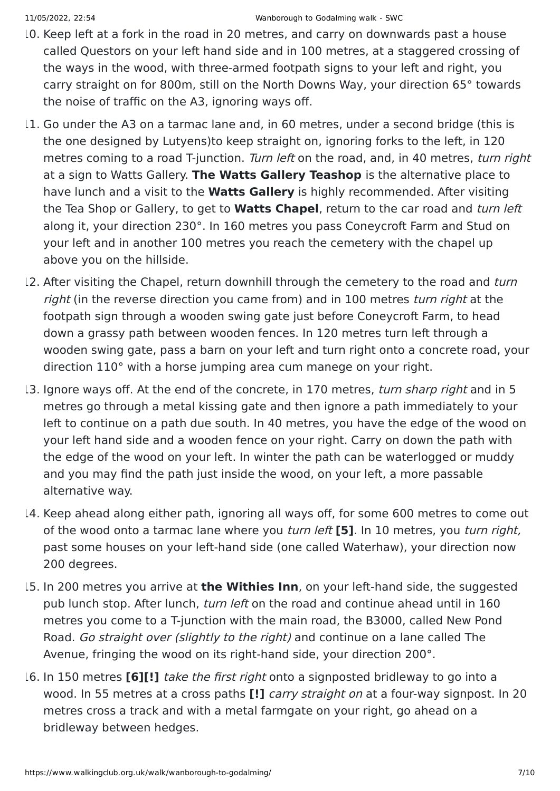- 10. Keep left at a fork in the road in 20 metres, and carry on downwards past a house called Questors on your left hand side and in 100 metres, at a staggered crossing of the ways in the wood, with three-armed footpath signs to your left and right, you carry straight on for 800m, still on the North Downs Way, your direction 65° towards the noise of traffic on the A3, ignoring ways off.
- 11. Go under the A3 on a tarmac lane and, in 60 metres, under a second bridge (this is the one designed by Lutyens)to keep straight on, ignoring forks to the left, in 120 metres coming to a road T-junction. Turn left on the road, and, in 40 metres, turn right at a sign to Watts Gallery. **The Watts Gallery Teashop** is the alternative place to have lunch and a visit to the **Watts Gallery** is highly recommended. After visiting the Tea Shop or Gallery, to get to **Watts Chapel**, return to the car road and turn left along it, your direction 230°. In 160 metres you pass Coneycroft Farm and Stud on your left and in another 100 metres you reach the cemetery with the chapel up above you on the hillside.
- 12. After visiting the Chapel, return downhill through the cemetery to the road and turn right (in the reverse direction you came from) and in 100 metres *turn right* at the footpath sign through a wooden swing gate just before Coneycroft Farm, to head down a grassy path between wooden fences. In 120 metres turn left through a wooden swing gate, pass a barn on your left and turn right onto a concrete road, your direction 110° with a horse jumping area cum manege on your right.
- 13. Ignore ways off. At the end of the concrete, in 170 metres, turn sharp right and in 5 metres go through a metal kissing gate and then ignore a path immediately to your left to continue on a path due south. In 40 metres, you have the edge of the wood on your left hand side and a wooden fence on your right. Carry on down the path with the edge of the wood on your left. In winter the path can be waterlogged or muddy and you may find the path just inside the wood, on your left, a more passable alternative way.
- 14. Keep ahead along either path, ignoring all ways off, for some 600 metres to come out of the wood onto a tarmac lane where you turn left **[5]**. In 10 metres, you turn right, past some houses on your left-hand side (one called Waterhaw), your direction now 200 degrees.
- 15. In 200 metres you arrive at **the Withies Inn**, on your left-hand side, the suggested pub lunch stop. After lunch, turn left on the road and continue ahead until in 160 metres you come to a T-junction with the main road, the B3000, called New Pond Road. Go straight over (slightly to the right) and continue on a lane called The Avenue, fringing the wood on its right-hand side, your direction 200°.
- 16. In 150 metres **[6][!]** take the first right onto a signposted bridleway to go into a wood. In 55 metres at a cross paths **[!]** carry straight on at a four-way signpost. In 20 metres cross a track and with a metal farmgate on your right, go ahead on a bridleway between hedges.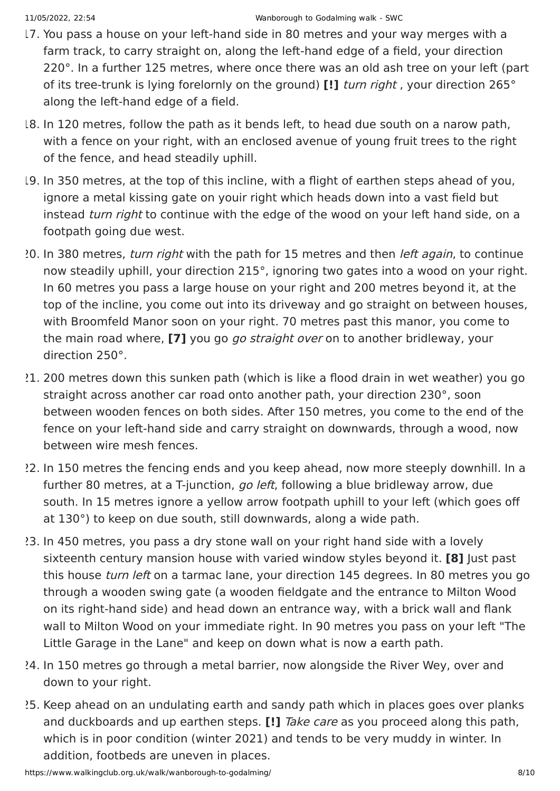- 17. You pass a house on your left-hand side in 80 metres and your way merges with a farm track, to carry straight on, along the left-hand edge of a field, your direction 220°. In a further 125 metres, where once there was an old ash tree on your left (part of its tree-trunk is lying forelornly on the ground) **[!]** turn right , your direction 265° along the left-hand edge of a field.
- 18. In 120 metres, follow the path as it bends left, to head due south on a narow path, with a fence on your right, with an enclosed avenue of young fruit trees to the right of the fence, and head steadily uphill.
- 19. In 350 metres, at the top of this incline, with a flight of earthen steps ahead of you, ignore a metal kissing gate on youir right which heads down into a vast field but instead *turn right* to continue with the edge of the wood on your left hand side, on a footpath going due west.
- 20. In 380 metres, turn right with the path for 15 metres and then left again, to continue now steadily uphill, your direction 215°, ignoring two gates into a wood on your right. In 60 metres you pass a large house on your right and 200 metres beyond it, at the top of the incline, you come out into its driveway and go straight on between houses, with Broomfeld Manor soon on your right. 70 metres past this manor, you come to the main road where, **[7]** you go go straight over on to another bridleway, your direction 250°.
- 21. 200 metres down this sunken path (which is like a flood drain in wet weather) you go straight across another car road onto another path, your direction 230°, soon between wooden fences on both sides. After 150 metres, you come to the end of the fence on your left-hand side and carry straight on downwards, through a wood, now between wire mesh fences.
- 22. In 150 metres the fencing ends and you keep ahead, now more steeply downhill. In a further 80 metres, at a T-junction, go left, following a blue bridleway arrow, due south. In 15 metres ignore a yellow arrow footpath uphill to your left (which goes off at 130°) to keep on due south, still downwards, along a wide path.
- 23. In 450 metres, you pass a dry stone wall on your right hand side with a lovely sixteenth century mansion house with varied window styles beyond it. **[8]** Just past this house *turn left* on a tarmac lane, your direction 145 degrees. In 80 metres you go through a wooden swing gate (a wooden fieldgate and the entrance to Milton Wood on its right-hand side) and head down an entrance way, with a brick wall and flank wall to Milton Wood on your immediate right. In 90 metres you pass on your left "The Little Garage in the Lane" and keep on down what is now a earth path.
- 24. In 150 metres go through a metal barrier, now alongside the River Wey, over and down to your right.
- 25. Keep ahead on an undulating earth and sandy path which in places goes over planks and duckboards and up earthen steps. **[!]** Take care as you proceed along this path, which is in poor condition (winter 2021) and tends to be very muddy in winter. In addition, footbeds are uneven in places.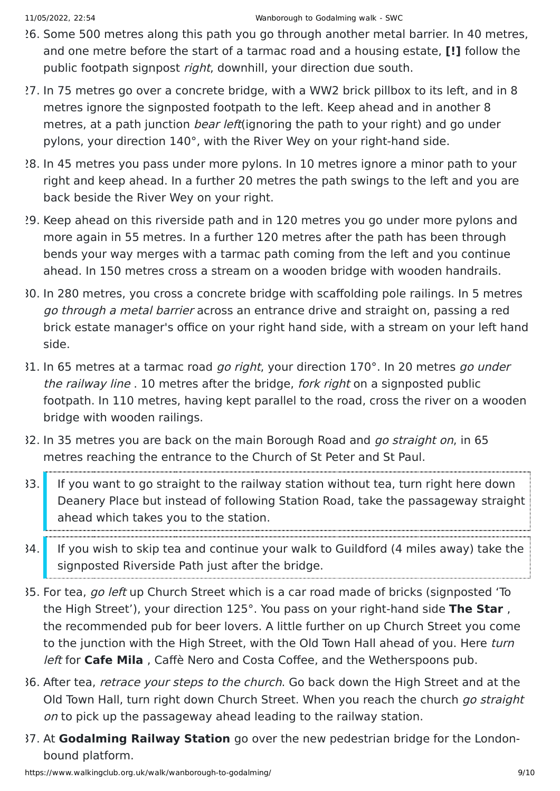- 26. Some 500 metres along this path you go through another metal barrier. In 40 metres, and one metre before the start of a tarmac road and a housing estate, **[!]** follow the public footpath signpost *right*, downhill, your direction due south.
- 27. In 75 metres go over a concrete bridge, with a WW2 brick pillbox to its left, and in 8 metres ignore the signposted footpath to the left. Keep ahead and in another 8 metres, at a path junction *bear left*(ignoring the path to your right) and go under pylons, your direction 140°, with the River Wey on your right-hand side.
- 28. In 45 metres you pass under more pylons. In 10 metres ignore a minor path to your right and keep ahead. In a further 20 metres the path swings to the left and you are back beside the River Wey on your right.
- 29. Keep ahead on this riverside path and in 120 metres you go under more pylons and more again in 55 metres. In a further 120 metres after the path has been through bends your way merges with a tarmac path coming from the left and you continue ahead. In 150 metres cross a stream on a wooden bridge with wooden handrails.
- 30. In 280 metres, you cross a concrete bridge with scaffolding pole railings. In 5 metres go through a metal barrier across an entrance drive and straight on, passing a red brick estate manager's office on your right hand side, with a stream on your left hand side.
- 31. In 65 metres at a tarmac road go right, your direction 170°. In 20 metres go under the railway line . 10 metres after the bridge, fork right on a signposted public footpath. In 110 metres, having kept parallel to the road, cross the river on a wooden bridge with wooden railings.
- 32. In 35 metres you are back on the main Borough Road and go straight on, in 65 metres reaching the entrance to the Church of St Peter and St Paul.
- 33. If you want to go straight to the railway station without tea, turn right here down Deanery Place but instead of following Station Road, take the passageway straight ahead which takes you to the station.
- 34. If you wish to skip tea and continue your walk to Guildford (4 miles away) take the signposted Riverside Path just after the bridge.
- 35. For tea, go left up Church Street which is a car road made of bricks (signposted 'To the High Street'), your direction 125°. You pass on your right-hand side **The Star** , the recommended pub for beer lovers. A little further on up Church Street you come to the junction with the High Street, with the Old Town Hall ahead of you. Here turn left for **Cafe Mila** , Caffè Nero and Costa Coffee, and the Wetherspoons pub.
- 36. After tea, retrace your steps to the church. Go back down the High Street and at the Old Town Hall, turn right down Church Street. When you reach the church go straight on to pick up the passageway ahead leading to the railway station.
- 37. At **Godalming Railway Station** go over the new pedestrian bridge for the Londonbound platform.